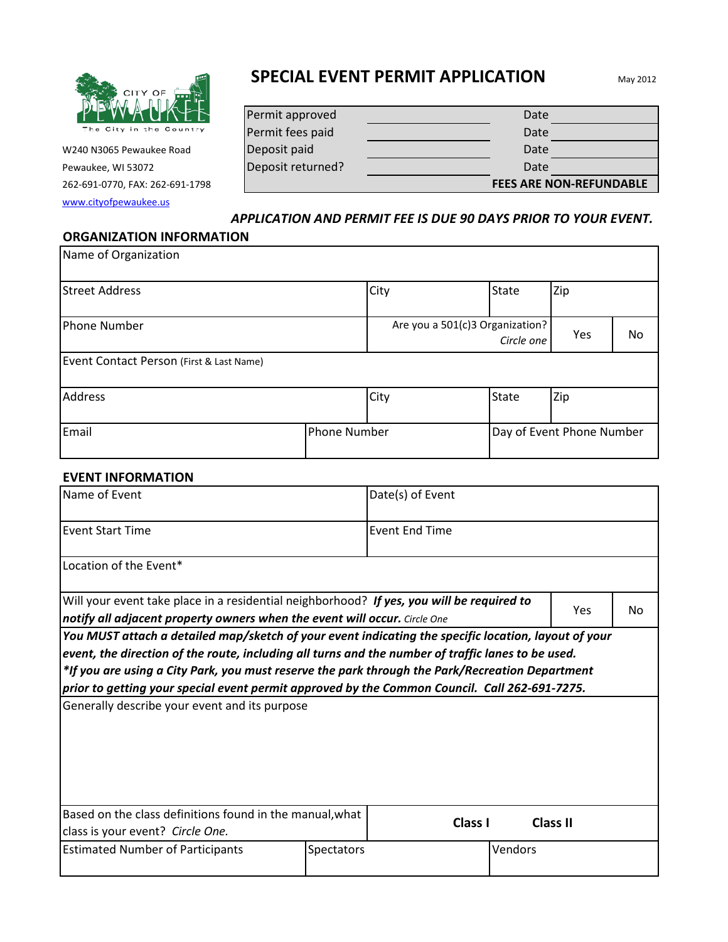

W240 N3065 Pewaukee Road Pewaukee, WI 53072 262-691-0770, FAX: 262-691-1798

[www.cityofpewaukee.us](http://www.cityofpewaukee.us/)

# **SPECIAL EVENT PERMIT APPLICATION**

| Permit approved   | Date                           |
|-------------------|--------------------------------|
| Permit fees paid  | Date                           |
| Deposit paid      | Date                           |
| Deposit returned? | Date                           |
|                   | <b>FEES ARE NON-REFUNDABLE</b> |

#### *APPLICATION AND PERMIT FEE IS DUE 90 DAYS PRIOR TO YOUR EVENT.*

#### **ORGANIZATION INFORMATION**

| Name of Organization                     |              |      |                                               |                           |    |
|------------------------------------------|--------------|------|-----------------------------------------------|---------------------------|----|
| <b>Street Address</b>                    |              | City | <b>State</b>                                  | Zip                       |    |
| <b>Phone Number</b>                      |              |      | Are you a 501(c)3 Organization?<br>Circle one | Yes                       | No |
| Event Contact Person (First & Last Name) |              |      |                                               |                           |    |
| <b>Address</b>                           |              | City | <b>State</b>                                  | Zip                       |    |
| Email                                    | Phone Number |      |                                               | Day of Event Phone Number |    |

#### **EVENT INFORMATION**

| Name of Event                                                                                                                                                                                                                                                                                                                                                                                                                                                   |                   | Date(s) of Event      |                 |     |  |  |
|-----------------------------------------------------------------------------------------------------------------------------------------------------------------------------------------------------------------------------------------------------------------------------------------------------------------------------------------------------------------------------------------------------------------------------------------------------------------|-------------------|-----------------------|-----------------|-----|--|--|
| <b>Event Start Time</b>                                                                                                                                                                                                                                                                                                                                                                                                                                         |                   | <b>Event End Time</b> |                 |     |  |  |
| Location of the Event*                                                                                                                                                                                                                                                                                                                                                                                                                                          |                   |                       |                 |     |  |  |
| Will your event take place in a residential neighborhood? If yes, you will be required to<br>notify all adjacent property owners when the event will occur. Circle One                                                                                                                                                                                                                                                                                          |                   |                       | Yes             | No. |  |  |
| You MUST attach a detailed map/sketch of your event indicating the specific location, layout of your<br>event, the direction of the route, including all turns and the number of traffic lanes to be used.<br>*If you are using a City Park, you must reserve the park through the Park/Recreation Department<br>prior to getting your special event permit approved by the Common Council. Call 262-691-7275.<br>Generally describe your event and its purpose |                   |                       |                 |     |  |  |
|                                                                                                                                                                                                                                                                                                                                                                                                                                                                 |                   |                       |                 |     |  |  |
| Based on the class definitions found in the manual, what<br>class is your event? Circle One.                                                                                                                                                                                                                                                                                                                                                                    |                   | Class I               | <b>Class II</b> |     |  |  |
| <b>Estimated Number of Participants</b>                                                                                                                                                                                                                                                                                                                                                                                                                         | <b>Spectators</b> | Vendors               |                 |     |  |  |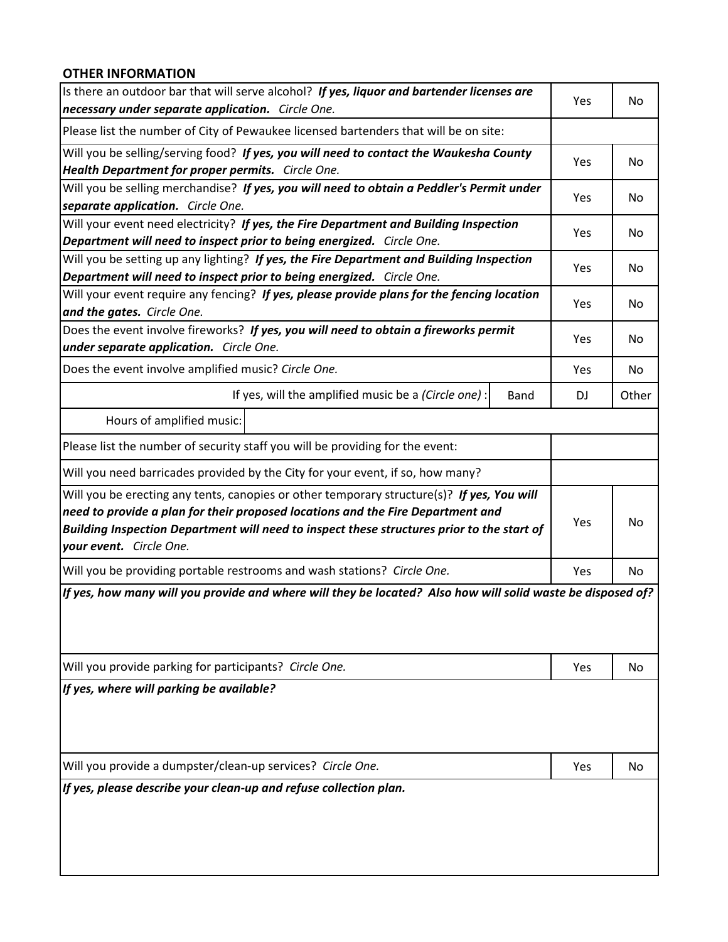#### **OTHER INFORMATION**

| Is there an outdoor bar that will serve alcohol? If yes, liquor and bartender licenses are<br>necessary under separate application. Circle One.                                                                                                                                                        |      | Yes | No    |
|--------------------------------------------------------------------------------------------------------------------------------------------------------------------------------------------------------------------------------------------------------------------------------------------------------|------|-----|-------|
| Please list the number of City of Pewaukee licensed bartenders that will be on site:                                                                                                                                                                                                                   |      |     |       |
| Will you be selling/serving food? If yes, you will need to contact the Waukesha County<br>Health Department for proper permits. Circle One.                                                                                                                                                            |      | Yes | No.   |
| Will you be selling merchandise? If yes, you will need to obtain a Peddler's Permit under<br>separate application. Circle One.                                                                                                                                                                         |      | Yes | No.   |
| Will your event need electricity? If yes, the Fire Department and Building Inspection<br>Department will need to inspect prior to being energized. Circle One.                                                                                                                                         |      | Yes | No.   |
| Will you be setting up any lighting? If yes, the Fire Department and Building Inspection<br>Department will need to inspect prior to being energized. Circle One.                                                                                                                                      |      | Yes | No    |
| Will your event require any fencing? If yes, please provide plans for the fencing location<br>and the gates. Circle One.                                                                                                                                                                               |      | Yes | No    |
| Does the event involve fireworks? If yes, you will need to obtain a fireworks permit<br>under separate application. Circle One.                                                                                                                                                                        |      | Yes | No.   |
| Does the event involve amplified music? Circle One.                                                                                                                                                                                                                                                    |      | Yes | No    |
| If yes, will the amplified music be a (Circle one) :                                                                                                                                                                                                                                                   | Band | DJ  | Other |
| Hours of amplified music:                                                                                                                                                                                                                                                                              |      |     |       |
| Please list the number of security staff you will be providing for the event:                                                                                                                                                                                                                          |      |     |       |
| Will you need barricades provided by the City for your event, if so, how many?                                                                                                                                                                                                                         |      |     |       |
| Will you be erecting any tents, canopies or other temporary structure(s)? If yes, You will<br>need to provide a plan for their proposed locations and the Fire Department and<br>Building Inspection Department will need to inspect these structures prior to the start of<br>your event. Circle One. | Yes  | No. |       |
| Will you be providing portable restrooms and wash stations? Circle One.                                                                                                                                                                                                                                |      | Yes | No    |
| If yes, how many will you provide and where will they be located? Also how will solid waste be disposed of?<br>Will you provide parking for participants? Circle One.                                                                                                                                  |      | Yes | No    |
| If yes, where will parking be available?                                                                                                                                                                                                                                                               |      |     |       |
| Will you provide a dumpster/clean-up services? Circle One.                                                                                                                                                                                                                                             | Yes  | No  |       |
| If yes, please describe your clean-up and refuse collection plan.                                                                                                                                                                                                                                      |      |     |       |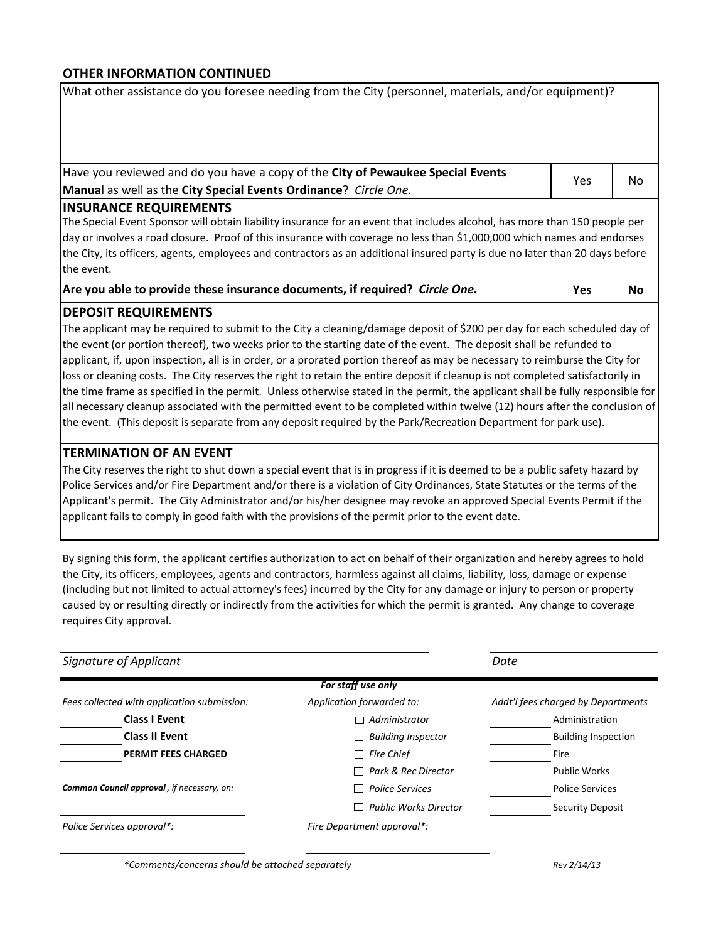#### **OTHER INFORMATION CONTINUED**

What other assistance do you foresee needing from the City (personnel, materials, and/or equipment)?

Have you reviewed and do you have a copy of the **City of Pewaukee Special Events Manual** as well as the **City Special Events Ordinance**? *Circle One.*

| Yes | No |
|-----|----|
|     |    |

#### **INSURANCE REQUIREMENTS**

The Special Event Sponsor will obtain liability insurance for an event that includes alcohol, has more than 150 people per day or involves a road closure. Proof of this insurance with coverage no less than \$1,000,000 which names and endorses the City, its officers, agents, employees and contractors as an additional insured party is due no later than 20 days before the event.

**Are you able to provide these insurance documents, if required?** *Circle One.*

**Yes No**

#### **DEPOSIT REQUIREMENTS**

The applicant may be required to submit to the City a cleaning/damage deposit of \$200 per day for each scheduled day of the event (or portion thereof), two weeks prior to the starting date of the event. The deposit shall be refunded to applicant, if, upon inspection, all is in order, or a prorated portion thereof as may be necessary to reimburse the City for loss or cleaning costs. The City reserves the right to retain the entire deposit if cleanup is not completed satisfactorily in the time frame as specified in the permit. Unless otherwise stated in the permit, the applicant shall be fully responsible for all necessary cleanup associated with the permitted event to be completed within twelve (12) hours after the conclusion of the event. (This deposit is separate from any deposit required by the Park/Recreation Department for park use).

#### **TERMINATION OF AN EVENT**

The City reserves the right to shut down a special event that is in progress if it is deemed to be a public safety hazard by Police Services and/or Fire Department and/or there is a violation of City Ordinances, State Statutes or the terms of the Applicant's permit. The City Administrator and/or his/her designee may revoke an approved Special Events Permit if the applicant fails to comply in good faith with the provisions of the permit prior to the event date.

By signing this form, the applicant certifies authorization to act on behalf of their organization and hereby agrees to hold the City, its officers, employees, agents and contractors, harmless against all claims, liability, loss, damage or expense (including but not limited to actual attorney's fees) incurred by the City for any damage or injury to person or property caused by or resulting directly or indirectly from the activities for which the permit is granted. Any change to coverage requires City approval.

| Signature of Applicant                      |                              | Date                               |  |  |
|---------------------------------------------|------------------------------|------------------------------------|--|--|
|                                             | For staff use only           |                                    |  |  |
| Fees collected with application submission: | Application forwarded to:    | Addt'l fees charged by Departments |  |  |
| <b>Class I Event</b>                        | Administrator                | Administration                     |  |  |
| <b>Class II Event</b>                       | <b>Building Inspector</b>    | <b>Building Inspection</b>         |  |  |
| <b>PERMIT FEES CHARGED</b>                  | <b>Fire Chief</b>            | Fire                               |  |  |
|                                             | Park & Rec Director          | <b>Public Works</b>                |  |  |
| Common Council approval, if necessary, on:  | <b>Police Services</b>       | <b>Police Services</b>             |  |  |
|                                             | <b>Public Works Director</b> | Security Deposit                   |  |  |
| Police Services approval*:                  | Fire Department approval*:   |                                    |  |  |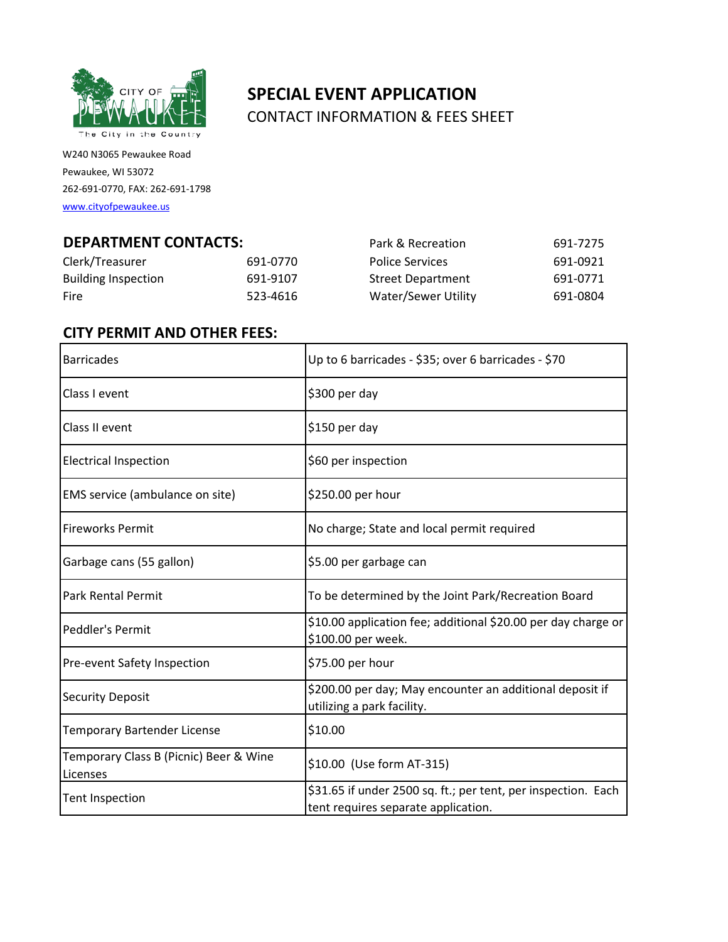

W240 N3065 Pewaukee Road Pewaukee, WI 53072 262-691-0770, FAX: 262-691-1798

[www.cityofpewaukee.us](http://www.cityofpewaukee.us/)

# **SPECIAL EVENT APPLICATION** CONTACT INFORMATION & FEES SHEET

| <b>DEPARTMENT CONTACTS:</b> |          | Park & Recreation        | 691-7275 |
|-----------------------------|----------|--------------------------|----------|
| Clerk/Treasurer             | 691-0770 | <b>Police Services</b>   | 691-0921 |
| <b>Building Inspection</b>  | 691-9107 | <b>Street Department</b> | 691-0771 |
| <b>Fire</b>                 | 523-4616 | Water/Sewer Utility      | 691-0804 |

# **CITY PERMIT AND OTHER FEES:**

| <b>Barricades</b>                                  | Up to 6 barricades - \$35; over 6 barricades - \$70                                                  |
|----------------------------------------------------|------------------------------------------------------------------------------------------------------|
| Class I event                                      | \$300 per day                                                                                        |
| Class II event                                     | \$150 per day                                                                                        |
| <b>Electrical Inspection</b>                       | \$60 per inspection                                                                                  |
| EMS service (ambulance on site)                    | \$250.00 per hour                                                                                    |
| <b>Fireworks Permit</b>                            | No charge; State and local permit required                                                           |
| Garbage cans (55 gallon)                           | \$5.00 per garbage can                                                                               |
| <b>Park Rental Permit</b>                          | To be determined by the Joint Park/Recreation Board                                                  |
| Peddler's Permit                                   | \$10.00 application fee; additional \$20.00 per day charge or<br>\$100.00 per week.                  |
| Pre-event Safety Inspection                        | \$75.00 per hour                                                                                     |
| <b>Security Deposit</b>                            | \$200.00 per day; May encounter an additional deposit if<br>utilizing a park facility.               |
| <b>Temporary Bartender License</b>                 | \$10.00                                                                                              |
| Temporary Class B (Picnic) Beer & Wine<br>Licenses | \$10.00 (Use form AT-315)                                                                            |
| Tent Inspection                                    | \$31.65 if under 2500 sq. ft.; per tent, per inspection. Each<br>tent requires separate application. |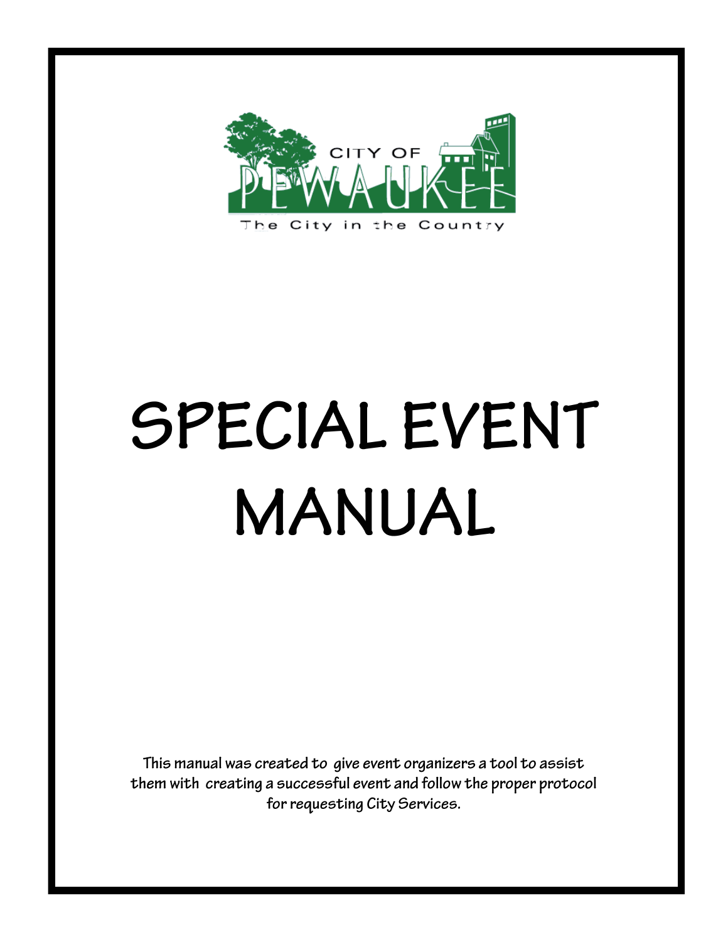

# SPECIAL EVENT **MANUAL**

This manual was created to give event organizers a tool to assist them with creating a successful event and follow the proper protocol for requesting City Services.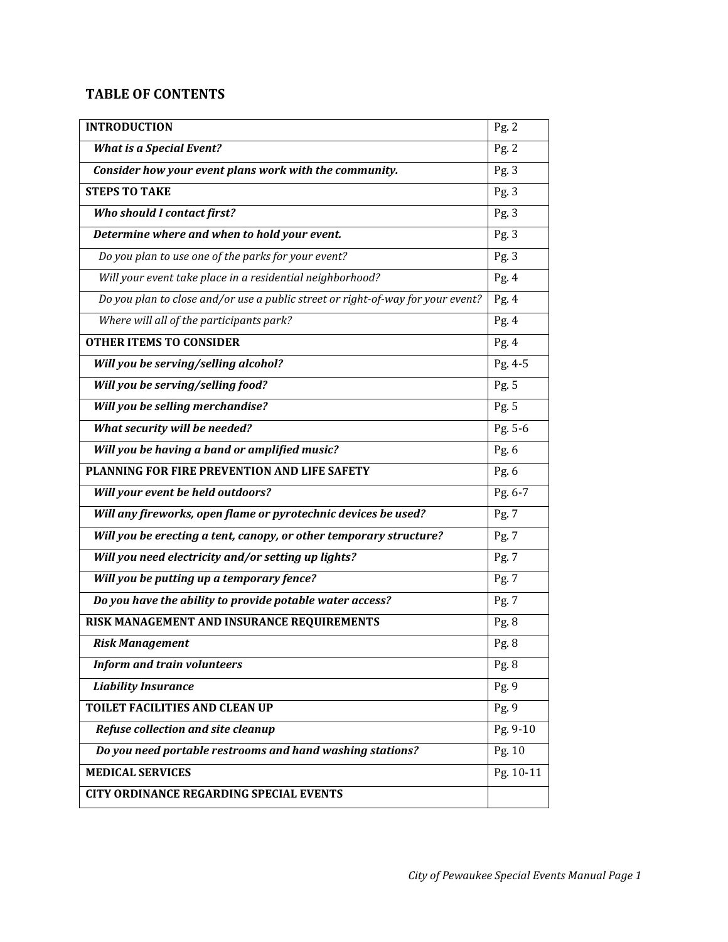# **TABLE OF CONTENTS**

| <b>INTRODUCTION</b>                                                             | Pg. 2     |
|---------------------------------------------------------------------------------|-----------|
| <b>What is a Special Event?</b>                                                 | Pg. 2     |
| Consider how your event plans work with the community.                          | Pg.3      |
| <b>STEPS TO TAKE</b>                                                            | Pg. $3$   |
| Who should I contact first?                                                     | Pg.3      |
| Determine where and when to hold your event.                                    | Pg.3      |
| Do you plan to use one of the parks for your event?                             | Pg.3      |
| Will your event take place in a residential neighborhood?                       | Pg.4      |
| Do you plan to close and/or use a public street or right-of-way for your event? | Pg.4      |
| Where will all of the participants park?                                        | Pg. 4     |
| <b>OTHER ITEMS TO CONSIDER</b>                                                  | Pg.4      |
| Will you be serving/selling alcohol?                                            | Pg. 4-5   |
| Will you be serving/selling food?                                               | Pg. 5     |
| Will you be selling merchandise?                                                | Pg. 5     |
| What security will be needed?                                                   | Pg. 5-6   |
| Will you be having a band or amplified music?                                   | Pg. 6     |
| PLANNING FOR FIRE PREVENTION AND LIFE SAFETY                                    | Pg. 6     |
| Will your event be held outdoors?                                               | Pg. 6-7   |
| Will any fireworks, open flame or pyrotechnic devices be used?                  | Pg. 7     |
| Will you be erecting a tent, canopy, or other temporary structure?              | Pg. 7     |
| Will you need electricity and/or setting up lights?                             | Pg. 7     |
| Will you be putting up a temporary fence?                                       | Pg. 7     |
| Do you have the ability to provide potable water access?                        | Pg. 7     |
| RISK MANAGEMENT AND INSURANCE REQUIREMENTS                                      | Pg. 8     |
| <b>Risk Management</b>                                                          | Pg. 8     |
| <b>Inform and train volunteers</b>                                              | Pg. 8     |
| <b>Liability Insurance</b>                                                      | Pg.9      |
| TOILET FACILITIES AND CLEAN UP                                                  | Pg. 9     |
| Refuse collection and site cleanup                                              | Pg. 9-10  |
| Do you need portable restrooms and hand washing stations?                       | Pg. 10    |
| <b>MEDICAL SERVICES</b>                                                         | Pg. 10-11 |
| <b>CITY ORDINANCE REGARDING SPECIAL EVENTS</b>                                  |           |
|                                                                                 |           |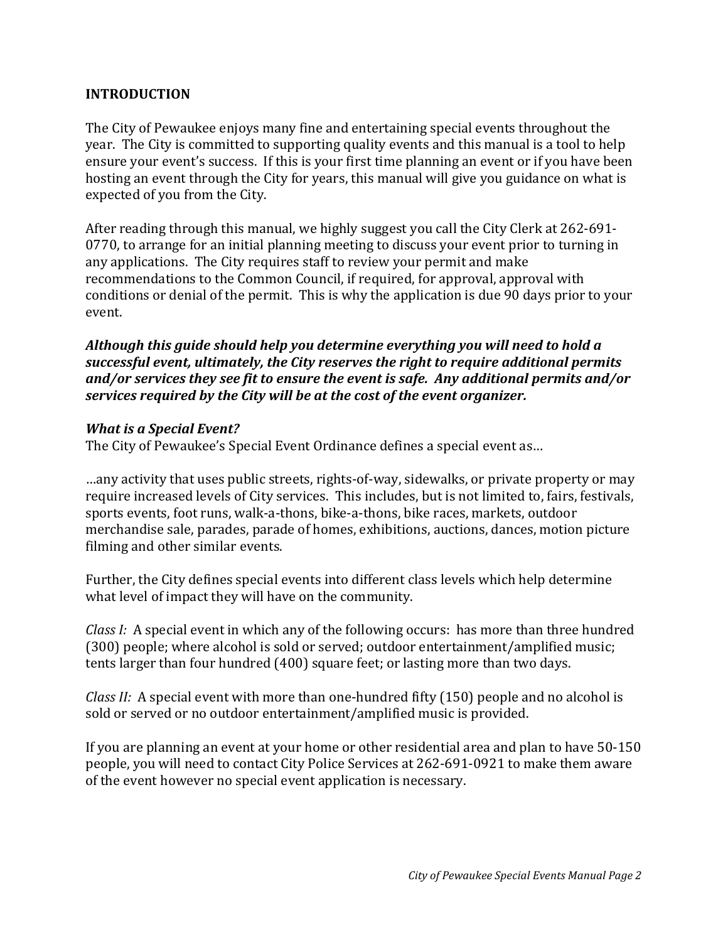#### **INTRODUCTION**

The City of Pewaukee enjoys many fine and entertaining special events throughout the year. The City is committed to supporting quality events and this manual is a tool to help ensure your event's success. If this is your first time planning an event or if you have been hosting an event through the City for years, this manual will give you guidance on what is expected of you from the City.

After reading through this manual, we highly suggest you call the City Clerk at 262-691- 0770, to arrange for an initial planning meeting to discuss your event prior to turning in any applications. The City requires staff to review your permit and make recommendations to the Common Council, if required, for approval, approval with conditions or denial of the permit. This is why the application is due 90 days prior to your event.

*Although this guide should help you determine everything you will need to hold a successful event, ultimately, the City reserves the right to require additional permits and/or services they see fit to ensure the event is safe. Any additional permits and/or services required by the City will be at the cost of the event organizer.*

#### *What is a Special Event?*

The City of Pewaukee's Special Event Ordinance defines a special event as…

…any activity that uses public streets, rights-of-way, sidewalks, or private property or may require increased levels of City services. This includes, but is not limited to, fairs, festivals, sports events, foot runs, walk-a-thons, bike-a-thons, bike races, markets, outdoor merchandise sale, parades, parade of homes, exhibitions, auctions, dances, motion picture filming and other similar events.

Further, the City defines special events into different class levels which help determine what level of impact they will have on the community.

*Class I:* A special event in which any of the following occurs: has more than three hundred (300) people; where alcohol is sold or served; outdoor entertainment/amplified music; tents larger than four hundred (400) square feet; or lasting more than two days.

*Class II:* A special event with more than one-hundred fifty (150) people and no alcohol is sold or served or no outdoor entertainment/amplified music is provided.

If you are planning an event at your home or other residential area and plan to have 50-150 people, you will need to contact City Police Services at 262-691-0921 to make them aware of the event however no special event application is necessary.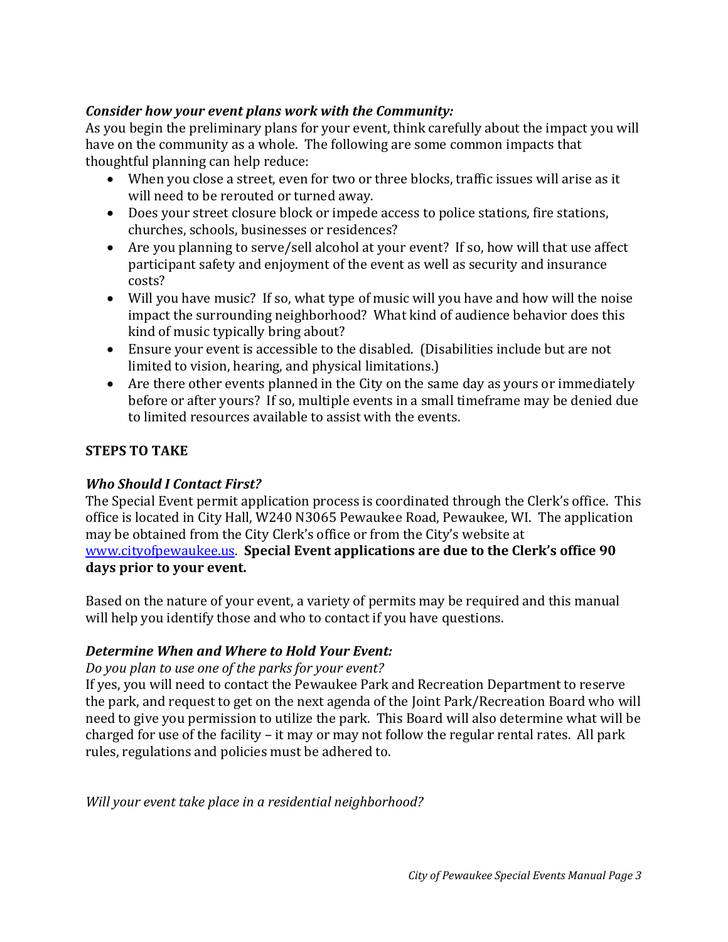# *Consider how your event plans work with the Community:*

As you begin the preliminary plans for your event, think carefully about the impact you will have on the community as a whole. The following are some common impacts that thoughtful planning can help reduce:

- When you close a street, even for two or three blocks, traffic issues will arise as it will need to be rerouted or turned away.
- Does your street closure block or impede access to police stations, fire stations, churches, schools, businesses or residences?
- Are you planning to serve/sell alcohol at your event? If so, how will that use affect participant safety and enjoyment of the event as well as security and insurance costs?
- Will you have music? If so, what type of music will you have and how will the noise impact the surrounding neighborhood? What kind of audience behavior does this kind of music typically bring about?
- Ensure your event is accessible to the disabled. (Disabilities include but are not limited to vision, hearing, and physical limitations.)
- Are there other events planned in the City on the same day as yours or immediately before or after yours? If so, multiple events in a small timeframe may be denied due to limited resources available to assist with the events.

## **STEPS TO TAKE**

## *Who Should I Contact First?*

The Special Event permit application process is coordinated through the Clerk's office. This office is located in City Hall, W240 N3065 Pewaukee Road, Pewaukee, WI. The application may be obtained from the City Clerk's office or from the City's website at [www.cityofpewaukee.us.](http://www.cityofpewaukee.us/) **Special Event applications are due to the Clerk's office 90 days prior to your event.**

Based on the nature of your event, a variety of permits may be required and this manual will help you identify those and who to contact if you have questions.

## *Determine When and Where to Hold Your Event:*

#### *Do you plan to use one of the parks for your event?*

If yes, you will need to contact the Pewaukee Park and Recreation Department to reserve the park, and request to get on the next agenda of the Joint Park/Recreation Board who will need to give you permission to utilize the park. This Board will also determine what will be charged for use of the facility – it may or may not follow the regular rental rates. All park rules, regulations and policies must be adhered to.

*Will your event take place in a residential neighborhood?*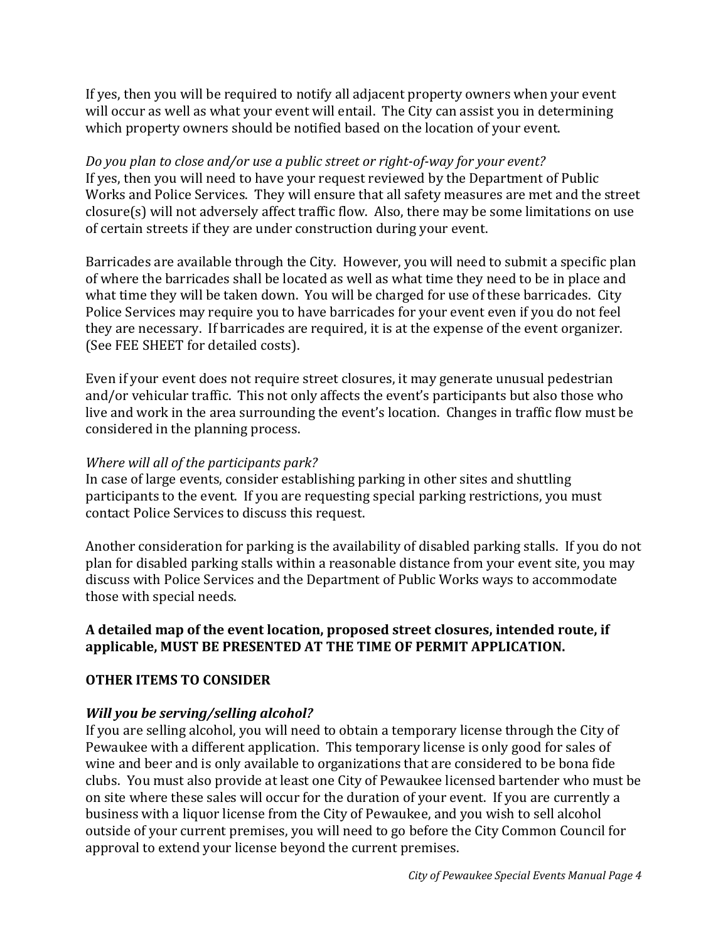If yes, then you will be required to notify all adjacent property owners when your event will occur as well as what your event will entail. The City can assist you in determining which property owners should be notified based on the location of your event.

*Do you plan to close and/or use a public street or right-of-way for your event?* If yes, then you will need to have your request reviewed by the Department of Public Works and Police Services. They will ensure that all safety measures are met and the street closure(s) will not adversely affect traffic flow. Also, there may be some limitations on use of certain streets if they are under construction during your event.

Barricades are available through the City. However, you will need to submit a specific plan of where the barricades shall be located as well as what time they need to be in place and what time they will be taken down. You will be charged for use of these barricades. City Police Services may require you to have barricades for your event even if you do not feel they are necessary. If barricades are required, it is at the expense of the event organizer. (See FEE SHEET for detailed costs).

Even if your event does not require street closures, it may generate unusual pedestrian and/or vehicular traffic. This not only affects the event's participants but also those who live and work in the area surrounding the event's location. Changes in traffic flow must be considered in the planning process.

#### *Where will all of the participants park?*

In case of large events, consider establishing parking in other sites and shuttling participants to the event. If you are requesting special parking restrictions, you must contact Police Services to discuss this request.

Another consideration for parking is the availability of disabled parking stalls. If you do not plan for disabled parking stalls within a reasonable distance from your event site, you may discuss with Police Services and the Department of Public Works ways to accommodate those with special needs.

#### **A detailed map of the event location, proposed street closures, intended route, if applicable, MUST BE PRESENTED AT THE TIME OF PERMIT APPLICATION.**

## **OTHER ITEMS TO CONSIDER**

## *Will you be serving/selling alcohol?*

If you are selling alcohol, you will need to obtain a temporary license through the City of Pewaukee with a different application. This temporary license is only good for sales of wine and beer and is only available to organizations that are considered to be bona fide clubs. You must also provide at least one City of Pewaukee licensed bartender who must be on site where these sales will occur for the duration of your event. If you are currently a business with a liquor license from the City of Pewaukee, and you wish to sell alcohol outside of your current premises, you will need to go before the City Common Council for approval to extend your license beyond the current premises.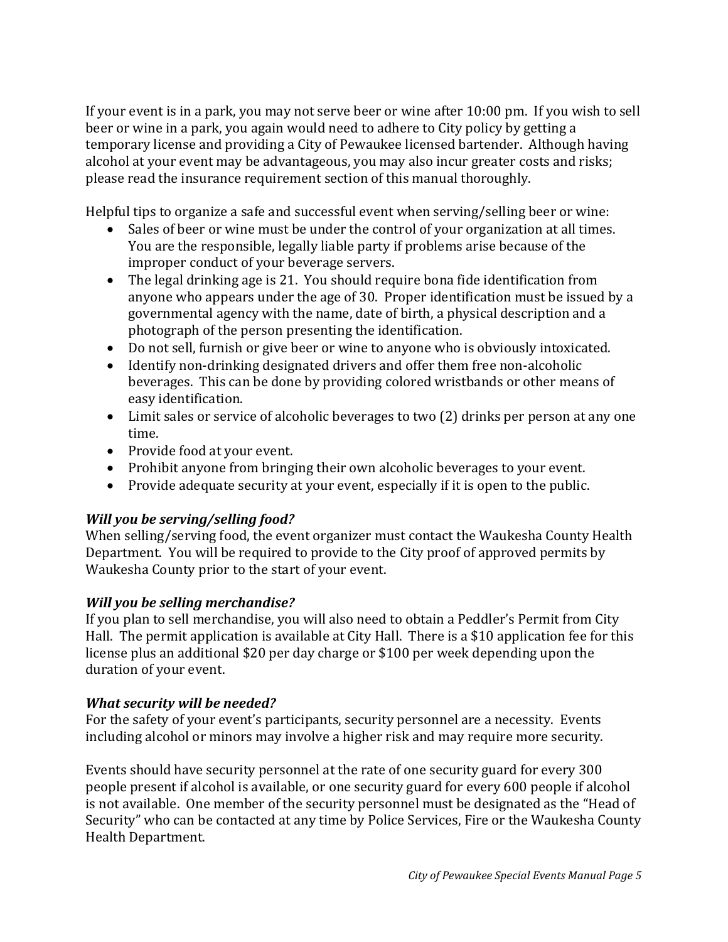If your event is in a park, you may not serve beer or wine after 10:00 pm. If you wish to sell beer or wine in a park, you again would need to adhere to City policy by getting a temporary license and providing a City of Pewaukee licensed bartender. Although having alcohol at your event may be advantageous, you may also incur greater costs and risks; please read the insurance requirement section of this manual thoroughly.

Helpful tips to organize a safe and successful event when serving/selling beer or wine:

- Sales of beer or wine must be under the control of your organization at all times. You are the responsible, legally liable party if problems arise because of the improper conduct of your beverage servers.
- The legal drinking age is 21. You should require bona fide identification from anyone who appears under the age of 30. Proper identification must be issued by a governmental agency with the name, date of birth, a physical description and a photograph of the person presenting the identification.
- Do not sell, furnish or give beer or wine to anyone who is obviously intoxicated.
- Identify non-drinking designated drivers and offer them free non-alcoholic beverages. This can be done by providing colored wristbands or other means of easy identification.
- Limit sales or service of alcoholic beverages to two (2) drinks per person at any one time.
- Provide food at your event.
- Prohibit anyone from bringing their own alcoholic beverages to your event.
- Provide adequate security at your event, especially if it is open to the public.

## *Will you be serving/selling food?*

When selling/serving food, the event organizer must contact the Waukesha County Health Department. You will be required to provide to the City proof of approved permits by Waukesha County prior to the start of your event.

## *Will you be selling merchandise?*

If you plan to sell merchandise, you will also need to obtain a Peddler's Permit from City Hall. The permit application is available at City Hall. There is a \$10 application fee for this license plus an additional \$20 per day charge or \$100 per week depending upon the duration of your event.

## *What security will be needed?*

For the safety of your event's participants, security personnel are a necessity. Events including alcohol or minors may involve a higher risk and may require more security.

Events should have security personnel at the rate of one security guard for every 300 people present if alcohol is available, or one security guard for every 600 people if alcohol is not available. One member of the security personnel must be designated as the "Head of Security" who can be contacted at any time by Police Services, Fire or the Waukesha County Health Department.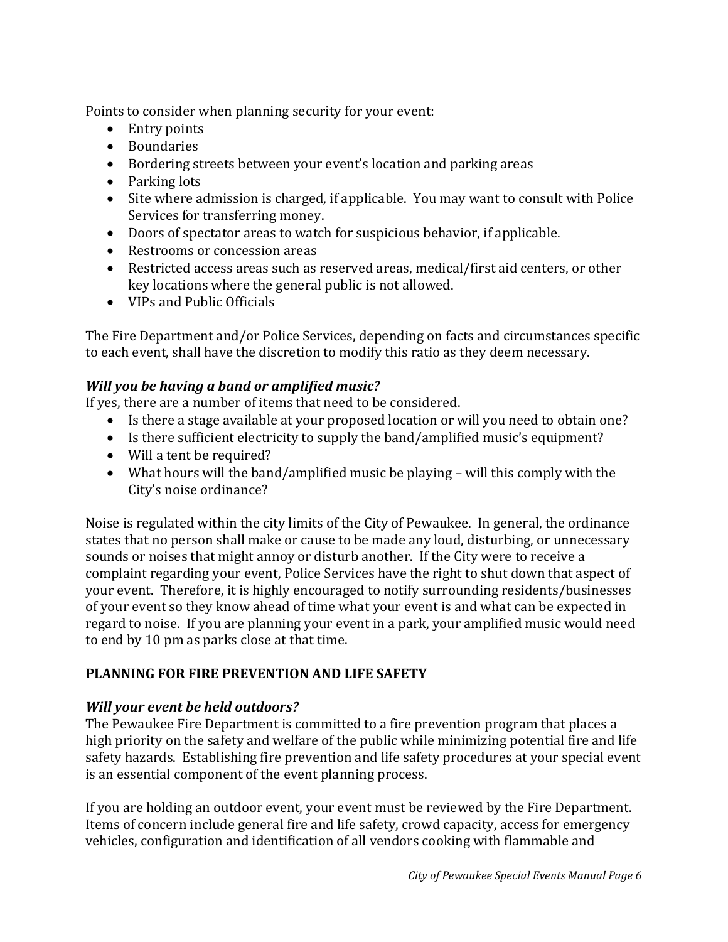Points to consider when planning security for your event:

- Entry points
- Boundaries
- Bordering streets between your event's location and parking areas
- Parking lots
- Site where admission is charged, if applicable. You may want to consult with Police Services for transferring money.
- Doors of spectator areas to watch for suspicious behavior, if applicable.
- Restrooms or concession areas
- Restricted access areas such as reserved areas, medical/first aid centers, or other key locations where the general public is not allowed.
- VIPs and Public Officials

The Fire Department and/or Police Services, depending on facts and circumstances specific to each event, shall have the discretion to modify this ratio as they deem necessary.

# *Will you be having a band or amplified music?*

If yes, there are a number of items that need to be considered.

- Is there a stage available at your proposed location or will you need to obtain one?
- Is there sufficient electricity to supply the band/amplified music's equipment?
- Will a tent be required?
- What hours will the band/amplified music be playing will this comply with the City's noise ordinance?

Noise is regulated within the city limits of the City of Pewaukee. In general, the ordinance states that no person shall make or cause to be made any loud, disturbing, or unnecessary sounds or noises that might annoy or disturb another. If the City were to receive a complaint regarding your event, Police Services have the right to shut down that aspect of your event. Therefore, it is highly encouraged to notify surrounding residents/businesses of your event so they know ahead of time what your event is and what can be expected in regard to noise. If you are planning your event in a park, your amplified music would need to end by 10 pm as parks close at that time.

# **PLANNING FOR FIRE PREVENTION AND LIFE SAFETY**

# *Will your event be held outdoors?*

The Pewaukee Fire Department is committed to a fire prevention program that places a high priority on the safety and welfare of the public while minimizing potential fire and life safety hazards. Establishing fire prevention and life safety procedures at your special event is an essential component of the event planning process.

If you are holding an outdoor event, your event must be reviewed by the Fire Department. Items of concern include general fire and life safety, crowd capacity, access for emergency vehicles, configuration and identification of all vendors cooking with flammable and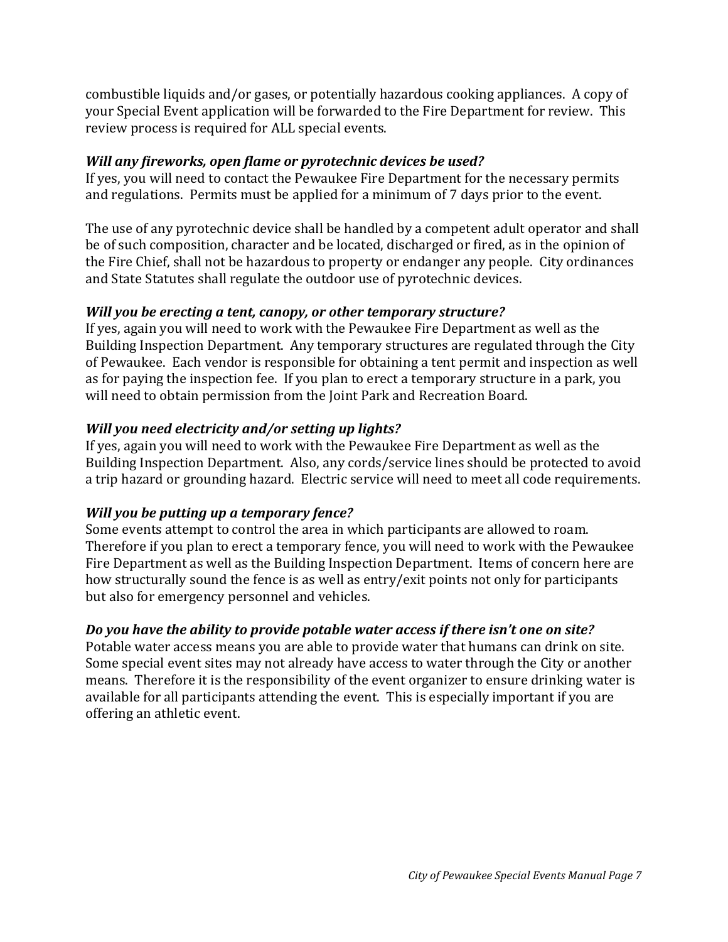combustible liquids and/or gases, or potentially hazardous cooking appliances. A copy of your Special Event application will be forwarded to the Fire Department for review. This review process is required for ALL special events.

## *Will any fireworks, open flame or pyrotechnic devices be used?*

If yes, you will need to contact the Pewaukee Fire Department for the necessary permits and regulations. Permits must be applied for a minimum of 7 days prior to the event.

The use of any pyrotechnic device shall be handled by a competent adult operator and shall be of such composition, character and be located, discharged or fired, as in the opinion of the Fire Chief, shall not be hazardous to property or endanger any people. City ordinances and State Statutes shall regulate the outdoor use of pyrotechnic devices.

# *Will you be erecting a tent, canopy, or other temporary structure?*

If yes, again you will need to work with the Pewaukee Fire Department as well as the Building Inspection Department. Any temporary structures are regulated through the City of Pewaukee. Each vendor is responsible for obtaining a tent permit and inspection as well as for paying the inspection fee. If you plan to erect a temporary structure in a park, you will need to obtain permission from the Joint Park and Recreation Board.

# *Will you need electricity and/or setting up lights?*

If yes, again you will need to work with the Pewaukee Fire Department as well as the Building Inspection Department. Also, any cords/service lines should be protected to avoid a trip hazard or grounding hazard. Electric service will need to meet all code requirements.

# *Will you be putting up a temporary fence?*

Some events attempt to control the area in which participants are allowed to roam. Therefore if you plan to erect a temporary fence, you will need to work with the Pewaukee Fire Department as well as the Building Inspection Department. Items of concern here are how structurally sound the fence is as well as entry/exit points not only for participants but also for emergency personnel and vehicles.

# *Do you have the ability to provide potable water access if there isn't one on site?*

Potable water access means you are able to provide water that humans can drink on site. Some special event sites may not already have access to water through the City or another means. Therefore it is the responsibility of the event organizer to ensure drinking water is available for all participants attending the event. This is especially important if you are offering an athletic event.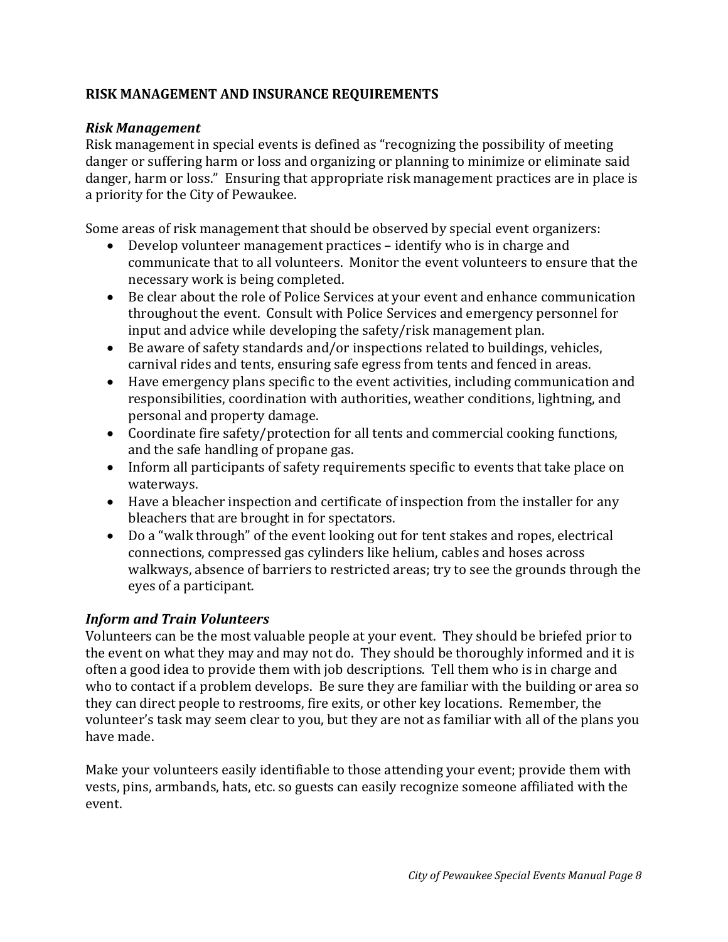## **RISK MANAGEMENT AND INSURANCE REQUIREMENTS**

#### *Risk Management*

Risk management in special events is defined as "recognizing the possibility of meeting danger or suffering harm or loss and organizing or planning to minimize or eliminate said danger, harm or loss." Ensuring that appropriate risk management practices are in place is a priority for the City of Pewaukee.

Some areas of risk management that should be observed by special event organizers:

- Develop volunteer management practices identify who is in charge and communicate that to all volunteers. Monitor the event volunteers to ensure that the necessary work is being completed.
- Be clear about the role of Police Services at your event and enhance communication throughout the event. Consult with Police Services and emergency personnel for input and advice while developing the safety/risk management plan.
- Be aware of safety standards and/or inspections related to buildings, vehicles, carnival rides and tents, ensuring safe egress from tents and fenced in areas.
- Have emergency plans specific to the event activities, including communication and responsibilities, coordination with authorities, weather conditions, lightning, and personal and property damage.
- Coordinate fire safety/protection for all tents and commercial cooking functions, and the safe handling of propane gas.
- Inform all participants of safety requirements specific to events that take place on waterways.
- Have a bleacher inspection and certificate of inspection from the installer for any bleachers that are brought in for spectators.
- Do a "walk through" of the event looking out for tent stakes and ropes, electrical connections, compressed gas cylinders like helium, cables and hoses across walkways, absence of barriers to restricted areas; try to see the grounds through the eyes of a participant.

## *Inform and Train Volunteers*

Volunteers can be the most valuable people at your event. They should be briefed prior to the event on what they may and may not do. They should be thoroughly informed and it is often a good idea to provide them with job descriptions. Tell them who is in charge and who to contact if a problem develops. Be sure they are familiar with the building or area so they can direct people to restrooms, fire exits, or other key locations. Remember, the volunteer's task may seem clear to you, but they are not as familiar with all of the plans you have made.

Make your volunteers easily identifiable to those attending your event; provide them with vests, pins, armbands, hats, etc. so guests can easily recognize someone affiliated with the event.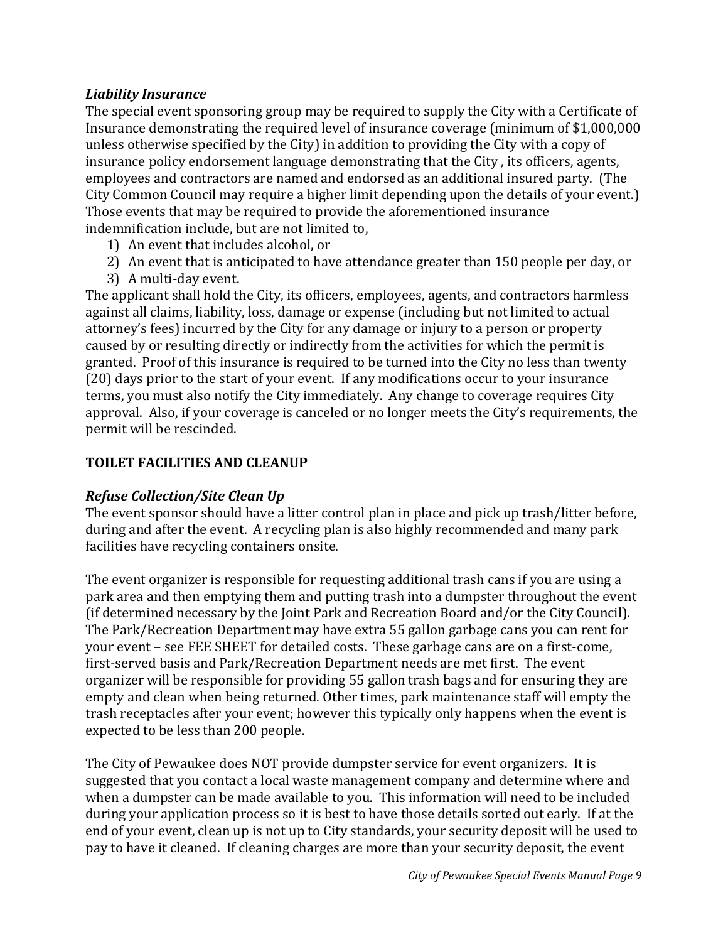#### *Liability Insurance*

The special event sponsoring group may be required to supply the City with a Certificate of Insurance demonstrating the required level of insurance coverage (minimum of \$1,000,000 unless otherwise specified by the City) in addition to providing the City with a copy of insurance policy endorsement language demonstrating that the City , its officers, agents, employees and contractors are named and endorsed as an additional insured party. (The City Common Council may require a higher limit depending upon the details of your event.) Those events that may be required to provide the aforementioned insurance indemnification include, but are not limited to,

- 1) An event that includes alcohol, or
- 2) An event that is anticipated to have attendance greater than 150 people per day, or
- 3) A multi-day event.

The applicant shall hold the City, its officers, employees, agents, and contractors harmless against all claims, liability, loss, damage or expense (including but not limited to actual attorney's fees) incurred by the City for any damage or injury to a person or property caused by or resulting directly or indirectly from the activities for which the permit is granted. Proof of this insurance is required to be turned into the City no less than twenty (20) days prior to the start of your event. If any modifications occur to your insurance terms, you must also notify the City immediately. Any change to coverage requires City approval. Also, if your coverage is canceled or no longer meets the City's requirements, the permit will be rescinded.

## **TOILET FACILITIES AND CLEANUP**

#### *Refuse Collection/Site Clean Up*

The event sponsor should have a litter control plan in place and pick up trash/litter before, during and after the event. A recycling plan is also highly recommended and many park facilities have recycling containers onsite.

The event organizer is responsible for requesting additional trash cans if you are using a park area and then emptying them and putting trash into a dumpster throughout the event (if determined necessary by the Joint Park and Recreation Board and/or the City Council). The Park/Recreation Department may have extra 55 gallon garbage cans you can rent for your event – see FEE SHEET for detailed costs. These garbage cans are on a first-come, first-served basis and Park/Recreation Department needs are met first. The event organizer will be responsible for providing 55 gallon trash bags and for ensuring they are empty and clean when being returned. Other times, park maintenance staff will empty the trash receptacles after your event; however this typically only happens when the event is expected to be less than 200 people.

The City of Pewaukee does NOT provide dumpster service for event organizers. It is suggested that you contact a local waste management company and determine where and when a dumpster can be made available to you. This information will need to be included during your application process so it is best to have those details sorted out early. If at the end of your event, clean up is not up to City standards, your security deposit will be used to pay to have it cleaned. If cleaning charges are more than your security deposit, the event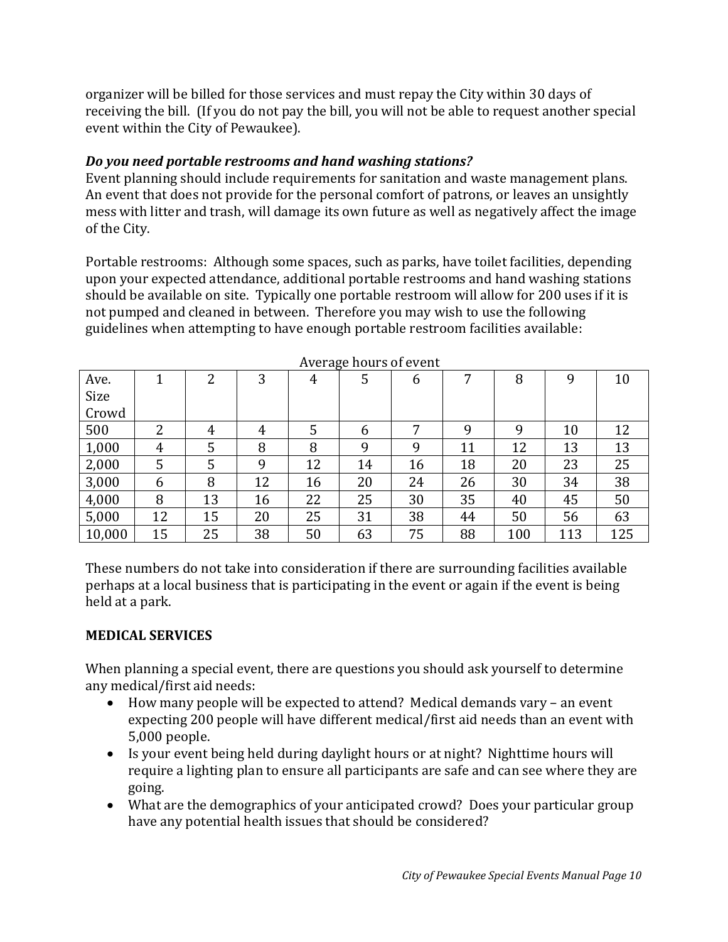organizer will be billed for those services and must repay the City within 30 days of receiving the bill. (If you do not pay the bill, you will not be able to request another special event within the City of Pewaukee).

# *Do you need portable restrooms and hand washing stations?*

Event planning should include requirements for sanitation and waste management plans. An event that does not provide for the personal comfort of patrons, or leaves an unsightly mess with litter and trash, will damage its own future as well as negatively affect the image of the City.

Portable restrooms: Although some spaces, such as parks, have toilet facilities, depending upon your expected attendance, additional portable restrooms and hand washing stations should be available on site. Typically one portable restroom will allow for 200 uses if it is not pumped and cleaned in between. Therefore you may wish to use the following guidelines when attempting to have enough portable restroom facilities available:

|        |    |    |    |    | $\ldots$ of $\alpha_{\rm B}$ and $\alpha_{\rm B}$ of $\alpha_{\rm C}$ one |    |    |     |     |     |
|--------|----|----|----|----|---------------------------------------------------------------------------|----|----|-----|-----|-----|
| Ave.   |    | າ  | 3  | 4  | 5                                                                         | 6  |    | 8   | 9   | 10  |
| Size   |    |    |    |    |                                                                           |    |    |     |     |     |
| Crowd  |    |    |    |    |                                                                           |    |    |     |     |     |
| 500    | 2  | 4  | 4  | 5  | 6                                                                         | 7  | 9  | 9   | 10  | 12  |
| 1,000  | 4  | 5  | 8  | 8  | 9                                                                         | 9  | 11 | 12  | 13  | 13  |
| 2,000  | 5  | 5  | 9  | 12 | 14                                                                        | 16 | 18 | 20  | 23  | 25  |
| 3,000  | 6  | 8  | 12 | 16 | 20                                                                        | 24 | 26 | 30  | 34  | 38  |
| 4,000  | 8  | 13 | 16 | 22 | 25                                                                        | 30 | 35 | 40  | 45  | 50  |
| 5,000  | 12 | 15 | 20 | 25 | 31                                                                        | 38 | 44 | 50  | 56  | 63  |
| 10,000 | 15 | 25 | 38 | 50 | 63                                                                        | 75 | 88 | 100 | 113 | 125 |

Average hours of event

These numbers do not take into consideration if there are surrounding facilities available perhaps at a local business that is participating in the event or again if the event is being held at a park.

## **MEDICAL SERVICES**

When planning a special event, there are questions you should ask yourself to determine any medical/first aid needs:

- How many people will be expected to attend? Medical demands vary an event expecting 200 people will have different medical/first aid needs than an event with 5,000 people.
- Is your event being held during daylight hours or at night? Nighttime hours will require a lighting plan to ensure all participants are safe and can see where they are going.
- What are the demographics of your anticipated crowd? Does your particular group have any potential health issues that should be considered?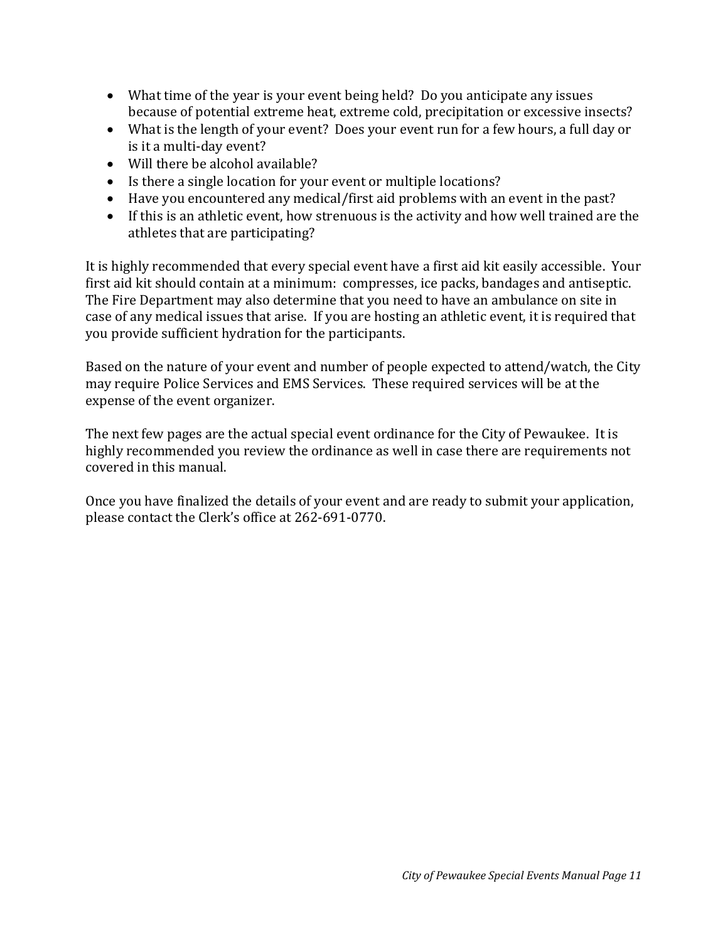- What time of the year is your event being held? Do you anticipate any issues because of potential extreme heat, extreme cold, precipitation or excessive insects?
- What is the length of your event? Does your event run for a few hours, a full day or is it a multi-day event?
- Will there be alcohol available?
- Is there a single location for your event or multiple locations?
- Have you encountered any medical/first aid problems with an event in the past?
- If this is an athletic event, how strenuous is the activity and how well trained are the athletes that are participating?

It is highly recommended that every special event have a first aid kit easily accessible. Your first aid kit should contain at a minimum: compresses, ice packs, bandages and antiseptic. The Fire Department may also determine that you need to have an ambulance on site in case of any medical issues that arise. If you are hosting an athletic event, it is required that you provide sufficient hydration for the participants.

Based on the nature of your event and number of people expected to attend/watch, the City may require Police Services and EMS Services. These required services will be at the expense of the event organizer.

The next few pages are the actual special event ordinance for the City of Pewaukee. It is highly recommended you review the ordinance as well in case there are requirements not covered in this manual.

Once you have finalized the details of your event and are ready to submit your application, please contact the Clerk's office at 262-691-0770.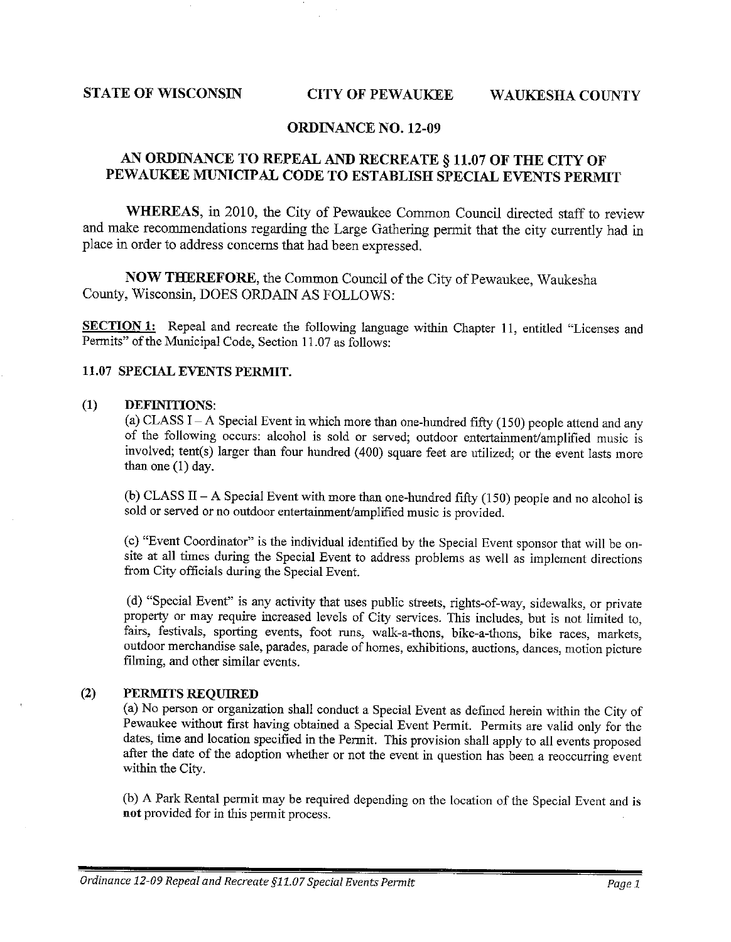#### **STATE OF WISCONSIN**

#### **CITY OF PEWAIIKEE WAUKESHA COUNTY**

#### **ORDINANCE NO. 12-09**

#### AN ORDINANCE TO REPEAL AND RECREATE § 11.07 OF THE CITY OF PEWAUKEE MUNICIPAL CODE TO ESTABLISH SPECIAL EVENTS PERMIT

WHEREAS, in 2010, the City of Pewaukee Common Council directed staff to review and make recommendations regarding the Large Gathering permit that the city currently had in place in order to address concerns that had been expressed.

NOW THEREFORE, the Common Council of the City of Pewaukee, Waukesha County, Wisconsin, DOES ORDAIN AS FOLLOWS:

SECTION 1: Repeal and recreate the following language within Chapter 11, entitled "Licenses and Permits" of the Municipal Code, Section 11.07 as follows:

#### 11.07 SPECIAL EVENTS PERMIT.

#### $(1)$ DEFINITIONS:

(a) CLASS I – A Special Event in which more than one-hundred fifty (150) people attend and any of the following occurs: alcohol is sold or served; outdoor entertainment/amplified music is involved; tent(s) larger than four hundred (400) square feet are utilized; or the event lasts more than one (1) day.

(b) CLASS II – A Special Event with more than one-hundred fifty (150) people and no alcohol is sold or served or no outdoor entertainment/amplified music is provided.

(c) "Event Coordinator" is the individual identified by the Special Event sponsor that will be onsite at all times during the Special Event to address problems as well as implement directions from City officials during the Special Event.

(d) "Special Event" is any activity that uses public streets, rights-of-way, sidewalks, or private property or may require increased levels of City services. This includes, but is not limited to. fairs, festivals, sporting events, foot runs, walk-a-thons, bike-a-thons, bike races, markets, outdoor merchandise sale, parades, parade of homes, exhibitions, auctions, dances, motion picture filming, and other similar events.

#### $(2)$ PERMITS REQUIRED

(a) No person or organization shall conduct a Special Event as defined herein within the City of Pewaukee without first having obtained a Special Event Permit. Permits are valid only for the dates, time and location specified in the Permit. This provision shall apply to all events proposed after the date of the adoption whether or not the event in question has been a reoccurring event within the City.

(b) A Park Rental permit may be required depending on the location of the Special Event and is not provided for in this permit process.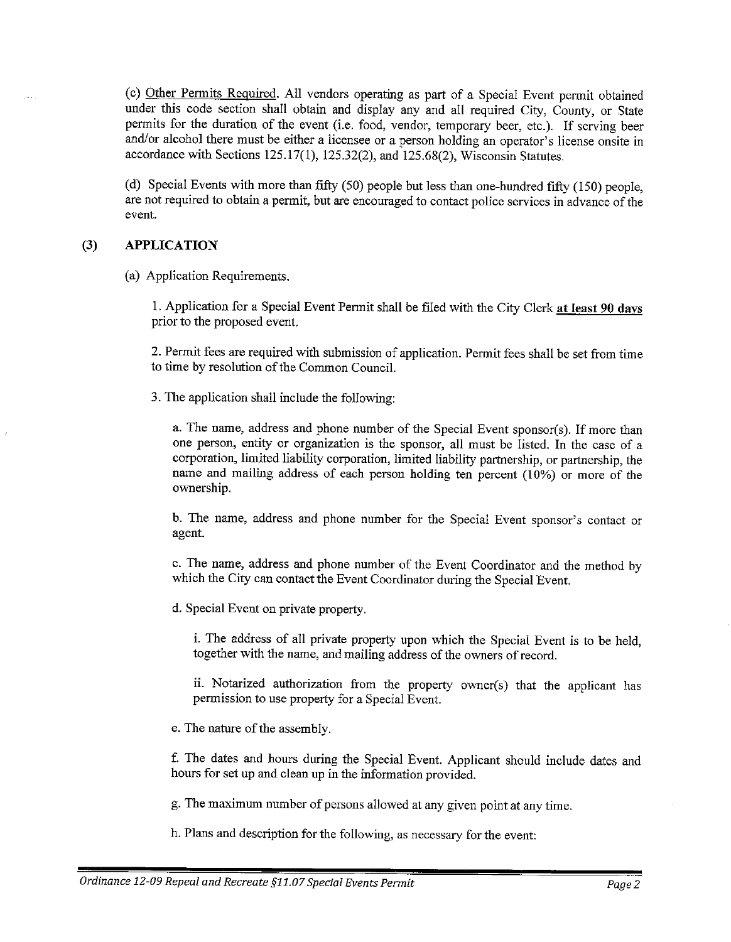(c) Other Permits Required. All vendors operating as part of a Special Event permit obtained under this code section shall obtain and display any and all required City, County, or State permits for the duration of the event (i.e. food, vendor, temporary beer, etc.). If serving beer and/or alcohol there must be either a licensee or a person holding an operator's license onsite in accordance with Sections  $125.17(1)$ ,  $125.32(2)$ , and  $125.68(2)$ , Wisconsin Statutes.

(d) Special Events with more than fifty (50) people but less than one-hundred fifty (150) people, are not required to obtain a permit, but are encouraged to contact police services in advance of the event.

#### $(3)$ **APPLICATION**

(a) Application Requirements.

1. Application for a Special Event Permit shall be filed with the City Clerk at least 90 days prior to the proposed event.

2. Permit fees are required with submission of application. Permit fees shall be set from time to time by resolution of the Common Council.

3. The application shall include the following:

a. The name, address and phone number of the Special Event sponsor(s). If more than one person, entity or organization is the sponsor, all must be listed. In the case of a corporation, limited liability corporation, limited liability partnership, or partnership, the name and mailing address of each person holding ten percent (10%) or more of the ownership.

b. The name, address and phone number for the Special Event sponsor's contact or agent.

c. The name, address and phone number of the Event Coordinator and the method by which the City can contact the Event Coordinator during the Special Event.

d. Special Event on private property.

i. The address of all private property upon which the Special Event is to be held. together with the name, and mailing address of the owners of record.

ii. Notarized authorization from the property owner(s) that the applicant has permission to use property for a Special Event.

e. The nature of the assembly.

f. The dates and hours during the Special Event. Applicant should include dates and hours for set up and clean up in the information provided.

g. The maximum number of persons allowed at any given point at any time.

h. Plans and description for the following, as necessary for the event: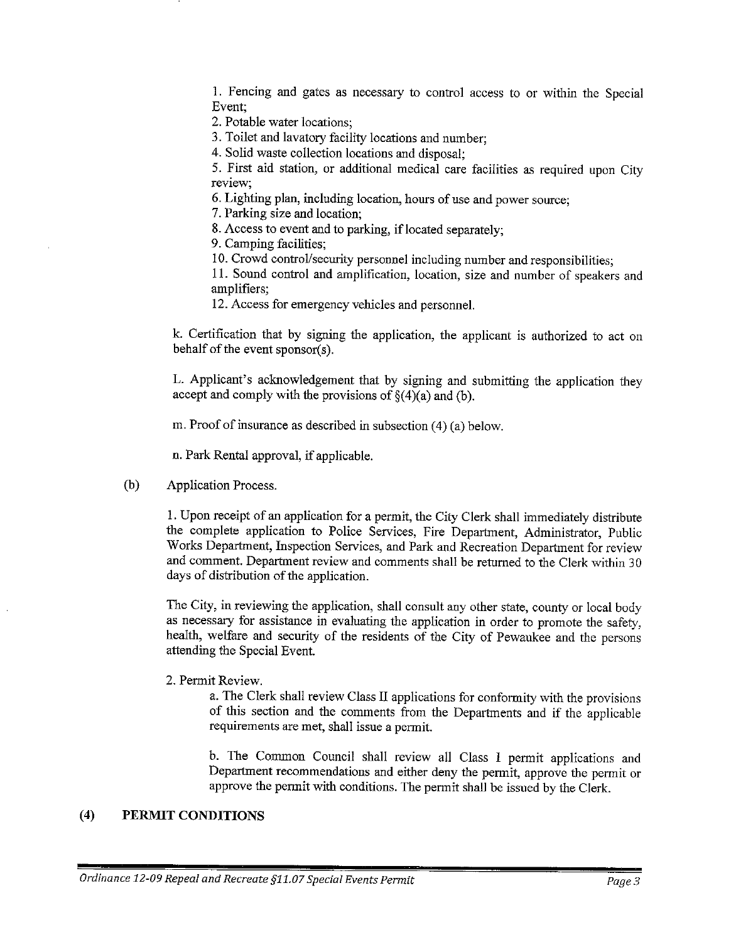1. Fencing and gates as necessary to control access to or within the Special Event:

2. Potable water locations:

3. Toilet and lavatory facility locations and number;

4. Solid waste collection locations and disposal:

5. First aid station, or additional medical care facilities as required upon City review:

6. Lighting plan, including location, hours of use and power source;

7. Parking size and location;

8. Access to event and to parking, if located separately;

9. Camping facilities:

10. Crowd control/security personnel including number and responsibilities;

11. Sound control and amplification, location, size and number of speakers and amplifiers:

12. Access for emergency vehicles and personnel.

k. Certification that by signing the application, the applicant is authorized to act on behalf of the event sponsor(s).

L. Applicant's acknowledgement that by signing and submitting the application they accept and comply with the provisions of  $\S(4)(a)$  and (b).

m. Proof of insurance as described in subsection (4) (a) below.

n. Park Rental approval, if applicable.

 $(b)$ **Application Process.** 

> 1. Upon receipt of an application for a permit, the City Clerk shall immediately distribute the complete application to Police Services, Fire Department, Administrator, Public Works Department, Inspection Services, and Park and Recreation Department for review and comment. Department review and comments shall be returned to the Clerk within 30 days of distribution of the application.

> The City, in reviewing the application, shall consult any other state, county or local body as necessary for assistance in evaluating the application in order to promote the safety, health, welfare and security of the residents of the City of Pewaukee and the persons attending the Special Event.

2. Permit Review.

a. The Clerk shall review Class II applications for conformity with the provisions of this section and the comments from the Departments and if the applicable requirements are met, shall issue a permit.

b. The Common Council shall review all Class I permit applications and Department recommendations and either deny the permit, approve the permit or approve the permit with conditions. The permit shall be issued by the Clerk.

#### $(4)$ PERMIT CONDITIONS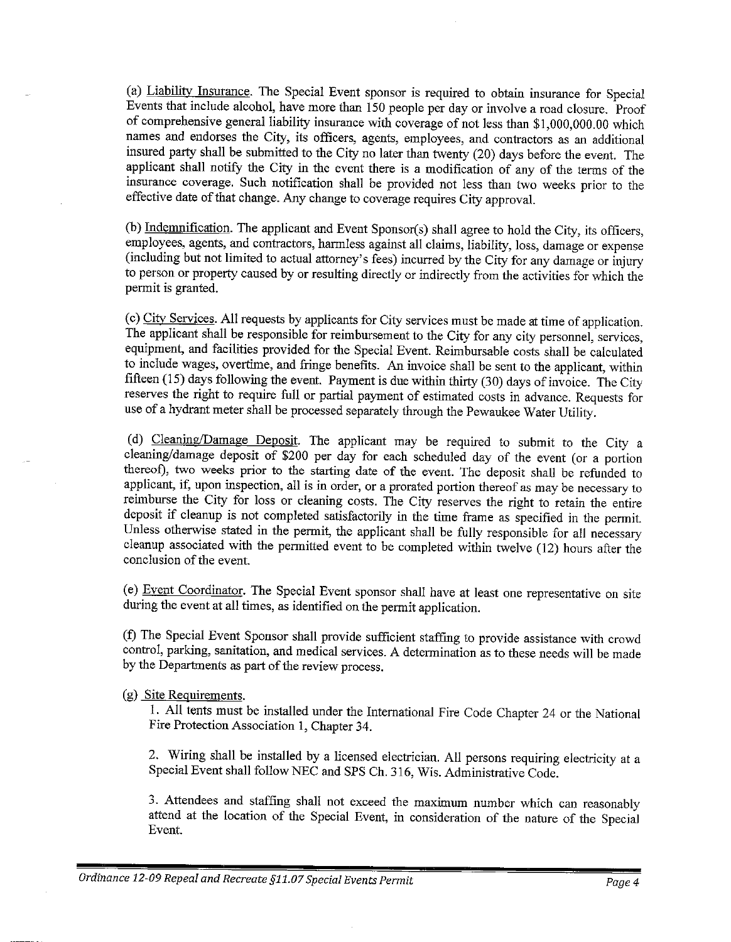(a) Liability Insurance. The Special Event sponsor is required to obtain insurance for Special Events that include alcohol, have more than 150 people per day or involve a road closure. Proof of comprehensive general liability insurance with coverage of not less than \$1,000,000.00 which names and endorses the City, its officers, agents, employees, and contractors as an additional insured party shall be submitted to the City no later than twenty (20) days before the event. The applicant shall notify the City in the event there is a modification of any of the terms of the insurance coverage. Such notification shall be provided not less than two weeks prior to the effective date of that change. Any change to coverage requires City approval.

(b) Indemnification. The applicant and Event Sponsor(s) shall agree to hold the City, its officers, employees, agents, and contractors, harmless against all claims, liability, loss, damage or expense (including but not limited to actual attorney's fees) incurred by the City for any damage or injury to person or property caused by or resulting directly or indirectly from the activities for which the permit is granted.

(c) City Services. All requests by applicants for City services must be made at time of application. The applicant shall be responsible for reimbursement to the City for any city personnel, services, equipment, and facilities provided for the Special Event. Reimbursable costs shall be calculated to include wages, overtime, and fringe benefits. An invoice shall be sent to the applicant, within fifteen (15) days following the event. Payment is due within thirty (30) days of invoice. The City reserves the right to require full or partial payment of estimated costs in advance. Requests for use of a hydrant meter shall be processed separately through the Pewaukee Water Utility.

(d) Cleaning/Damage Deposit. The applicant may be required to submit to the City a cleaning/damage deposit of \$200 per day for each scheduled day of the event (or a portion thereof), two weeks prior to the starting date of the event. The deposit shall be refunded to applicant, if, upon inspection, all is in order, or a prorated portion thereof as may be necessary to reimburse the City for loss or cleaning costs. The City reserves the right to retain the entire deposit if cleanup is not completed satisfactorily in the time frame as specified in the permit. Unless otherwise stated in the permit, the applicant shall be fully responsible for all necessary cleanup associated with the permitted event to be completed within twelve (12) hours after the conclusion of the event.

(e) Event Coordinator. The Special Event sponsor shall have at least one representative on site during the event at all times, as identified on the permit application.

(f) The Special Event Sponsor shall provide sufficient staffing to provide assistance with crowd control, parking, sanitation, and medical services. A determination as to these needs will be made by the Departments as part of the review process.

(g) Site Requirements.

1. All tents must be installed under the International Fire Code Chapter 24 or the National Fire Protection Association 1, Chapter 34.

2. Wiring shall be installed by a licensed electrician. All persons requiring electricity at a Special Event shall follow NEC and SPS Ch. 316, Wis. Administrative Code.

3. Attendees and staffing shall not exceed the maximum number which can reasonably attend at the location of the Special Event, in consideration of the nature of the Special Event.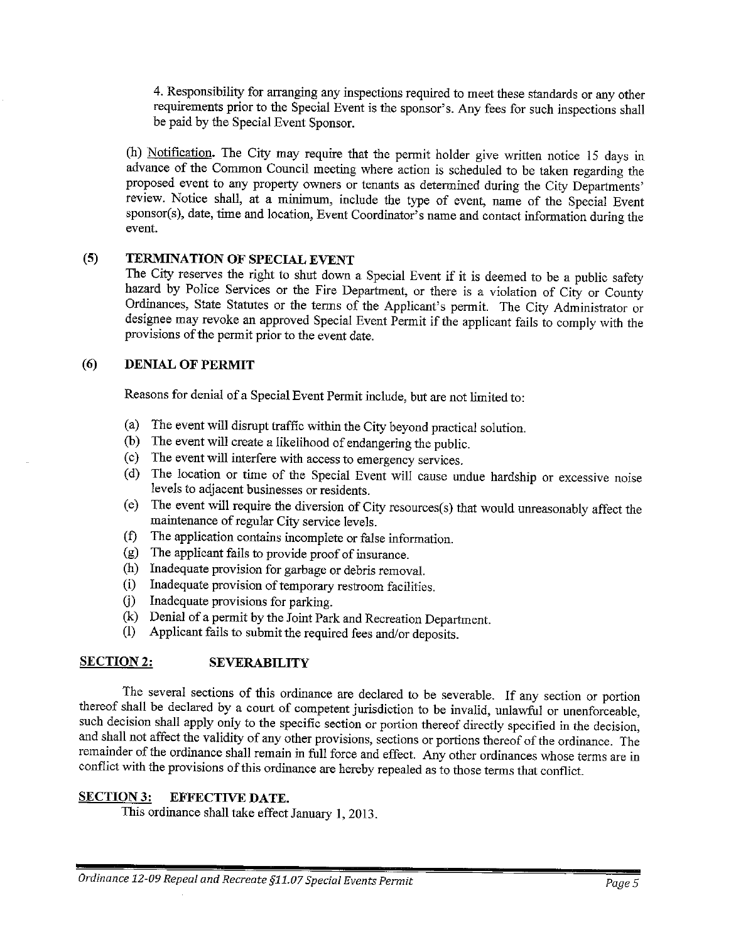4. Responsibility for arranging any inspections required to meet these standards or any other requirements prior to the Special Event is the sponsor's. Any fees for such inspections shall be paid by the Special Event Sponsor.

(h) Notification. The City may require that the permit holder give written notice 15 days in advance of the Common Council meeting where action is scheduled to be taken regarding the proposed event to any property owners or tenants as determined during the City Departments' review. Notice shall, at a minimum, include the type of event, name of the Special Event sponsor(s), date, time and location, Event Coordinator's name and contact information during the event.

#### TERMINATION OF SPECIAL EVENT  $(5)$

The City reserves the right to shut down a Special Event if it is deemed to be a public safety hazard by Police Services or the Fire Department, or there is a violation of City or County Ordinances, State Statutes or the terms of the Applicant's permit. The City Administrator or designee may revoke an approved Special Event Permit if the applicant fails to comply with the provisions of the permit prior to the event date.

#### $(6)$ **DENIAL OF PERMIT**

Reasons for denial of a Special Event Permit include, but are not limited to:

- (a) The event will disrupt traffic within the City beyond practical solution.
- (b) The event will create a likelihood of endangering the public.
- (c) The event will interfere with access to emergency services.
- (d) The location or time of the Special Event will cause undue hardship or excessive noise levels to adjacent businesses or residents.
- (e) The event will require the diversion of City resources(s) that would unreasonably affect the maintenance of regular City service levels.
- (f) The application contains incomplete or false information.
- $(g)$  The applicant fails to provide proof of insurance.
- (h) Inadequate provision for garbage or debris removal.
- (i) Inadequate provision of temporary restroom facilities.
- (j) Inadequate provisions for parking.
- (k) Denial of a permit by the Joint Park and Recreation Department.
- Applicant fails to submit the required fees and/or deposits.  $(1)$

#### **SECTION 2: SEVERABILITY**

The several sections of this ordinance are declared to be severable. If any section or portion thereof shall be declared by a court of competent jurisdiction to be invalid, unlawful or unenforceable, such decision shall apply only to the specific section or portion thereof directly specified in the decision, and shall not affect the validity of any other provisions, sections or portions thereof of the ordinance. The remainder of the ordinance shall remain in full force and effect. Any other ordinances whose terms are in conflict with the provisions of this ordinance are hereby repealed as to those terms that conflict.

#### **SECTION 3: EFFECTIVE DATE.**

This ordinance shall take effect January 1, 2013.